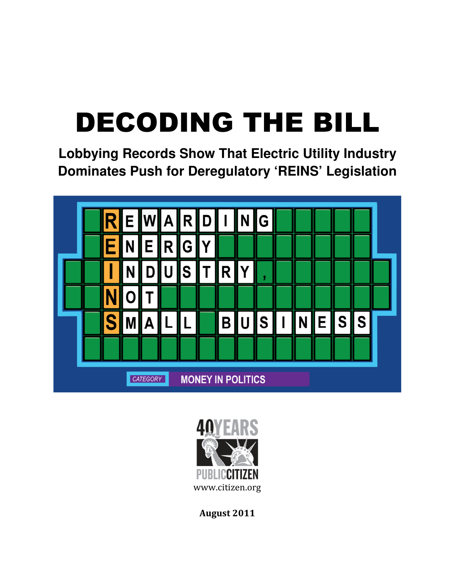# DECODING THE BILL

**Lobbying Records Show That Electric Utility Industry Dominates Push for Deregulatory 'REINS' Legislation**





August 2011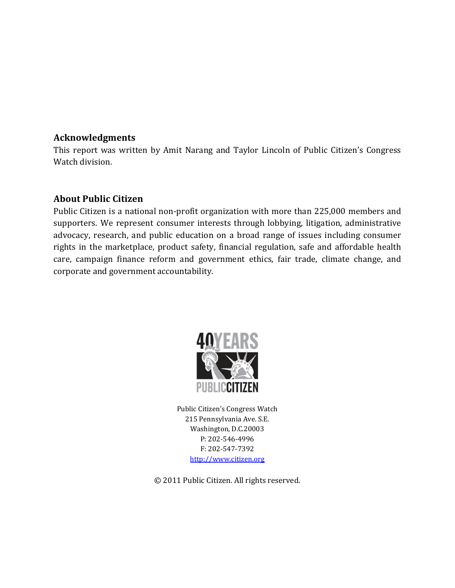### Acknowledgments

This report was written by Amit Narang and Taylor Lincoln of Public Citizen's Congress Watch division.

## About Public Citizen

Public Citizen is a national non-profit organization with more than 225,000 members and supporters. We represent consumer interests through lobbying, litigation, administrative advocacy, research, and public education on a broad range of issues including consumer rights in the marketplace, product safety, financial regulation, safe and affordable health care, campaign finance reform and government ethics, fair trade, climate change, and corporate and government accountability.



Public Citizen's Congress Watch 215 Pennsylvania Ave. S.E. Washington, D.C.20003 P: 202-546-4996 F: 202-547-7392 http://www.citizen.org

© 2011 Public Citizen. All rights reserved.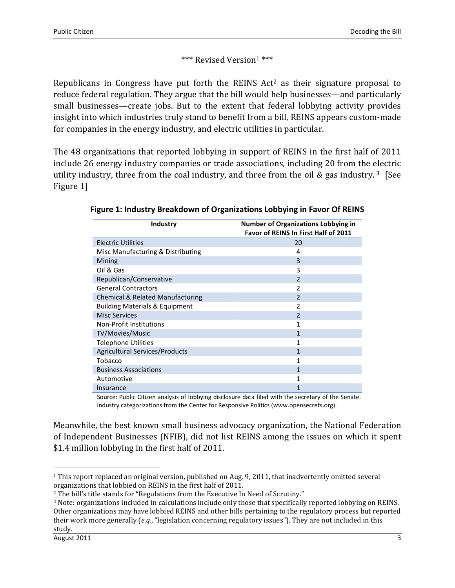```
*** Revised Version<sup>1</sup> ***
```
Republicans in Congress have put forth the REINS Act <sup>2</sup> as their signature proposal to reduce federal regulation. They argue that the bill would help businesses—and particularly small businesses—create jobs. But to the extent that federal lobbying activity provides insight into which industries truly stand to benefit from a bill, REINS appears custom-made for companies in the energy industry, and electric utilities in particular.

The 48 organizations that reported lobbying in support of REINS in the first half of 2011 include 26 energy industry companies or trade associations, including 20 from the electric utility industry, three from the coal industry, and three from the oil & gas industry.<sup>3</sup> [See Figure 1]

| Industry                                    | <b>Number of Organizations Lobbying in</b><br><b>Favor of REINS In First Half of 2011</b> |
|---------------------------------------------|-------------------------------------------------------------------------------------------|
| <b>Electric Utilities</b>                   | 20                                                                                        |
| Misc Manufacturing & Distributing           | 4                                                                                         |
| Mining                                      | 3                                                                                         |
| Oil & Gas                                   | 3                                                                                         |
| Republican/Conservative                     | $\overline{2}$                                                                            |
| <b>General Contractors</b>                  | 2                                                                                         |
| <b>Chemical &amp; Related Manufacturing</b> | $\overline{2}$                                                                            |
| <b>Building Materials &amp; Equipment</b>   | 2                                                                                         |
| <b>Misc Services</b>                        | $\overline{2}$                                                                            |
| Non-Profit Institutions                     |                                                                                           |
| TV/Movies/Music                             | 1                                                                                         |
| <b>Telephone Utilities</b>                  | 1                                                                                         |
| <b>Agricultural Services/Products</b>       | 1                                                                                         |
| Tobacco                                     | 1                                                                                         |
| <b>Business Associations</b>                | 1                                                                                         |
| Automotive                                  |                                                                                           |
| Insurance                                   |                                                                                           |

Figure 1: Industry Breakdown of Organizations Lobbying in Favor Of REINS

Source: Public Citizen analysis of lobbying disclosure data filed with the secretary of the Senate. Industry categorizations from the Center for Responsive Politics (www.opensecrets.org).

Meanwhile, the best known small business advocacy organization, the National Federation of Independent Businesses (NFIB), did not list REINS among the issues on which it spent \$1.4 million lobbying in the first half of 2011.

<sup>1</sup> This report replaced an original version, published on Aug. 9, 2011, that inadvertently omitted several organizations that lobbied on REINS in the first half of 2011.

<sup>2</sup> The bill's title stands for "Regulations from the Executive In Need of Scrutiny."

<sup>3</sup> Note: organizations included in calculations include only those that specifically reported lobbying on REINS. Other organizations may have lobbied REINS and other bills pertaining to the regulatory process but reported their work more generally  $(e.g., "legislation concerning regulatory issues").$  They are not included in this study.

August 2011 3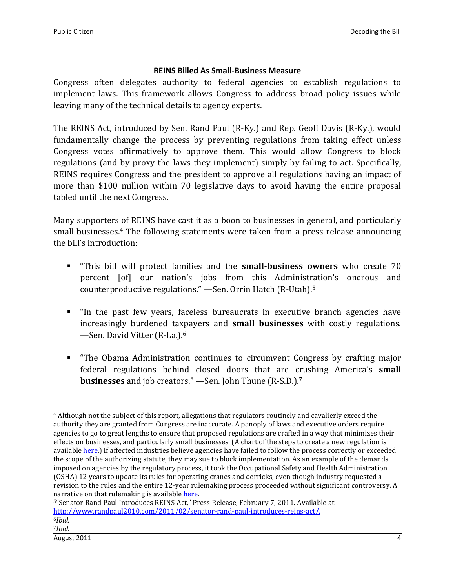#### REINS Billed As Small-Business Measure

Congress often delegates authority to federal agencies to establish regulations to implement laws. This framework allows Congress to address broad policy issues while leaving many of the technical details to agency experts.

The REINS Act, introduced by Sen. Rand Paul (R-Ky.) and Rep. Geoff Davis (R-Ky.), would fundamentally change the process by preventing regulations from taking effect unless Congress votes affirmatively to approve them. This would allow Congress to block regulations (and by proxy the laws they implement) simply by failing to act. Specifically, REINS requires Congress and the president to approve all regulations having an impact of more than \$100 million within 70 legislative days to avoid having the entire proposal tabled until the next Congress.

Many supporters of REINS have cast it as a boon to businesses in general, and particularly small businesses.4 The following statements were taken from a press release announcing the bill's introduction:

- " "This bill will protect families and the **small-business owners** who create 70 percent [of] our nation's jobs from this Administration's onerous and counterproductive regulations." —Sen. Orrin Hatch (R-Utah).<sup>5</sup>
- "In the past few years, faceless bureaucrats in executive branch agencies have increasingly burdened taxpayers and small businesses with costly regulations. —Sen. David Vitter (R-La.).<sup>6</sup>
- "The Obama Administration continues to circumvent Congress by crafting major federal regulations behind closed doors that are crushing America's small businesses and job creators." —Sen. John Thune (R-S.D.).<sup>7</sup>

 $\overline{\phantom{a}}$ 

<sup>4</sup> Although not the subject of this report, allegations that regulators routinely and cavalierly exceed the authority they are granted from Congress are inaccurate. A panoply of laws and executive orders require agencies to go to great lengths to ensure that proposed regulations are crafted in a way that minimizes their effects on businesses, and particularly small businesses. (A chart of the steps to create a new regulation is available here.) If affected industries believe agencies have failed to follow the process correctly or exceeded the scope of the authorizing statute, they may sue to block implementation. As an example of the demands imposed on agencies by the regulatory process, it took the Occupational Safety and Health Administration (OSHA) 12 years to update its rules for operating cranes and derricks, even though industry requested a revision to the rules and the entire 12-year rulemaking process proceeded without significant controversy. A narrative on that rulemaking is available here.

<sup>5</sup>"Senator Rand Paul Introduces REINS Act," Press Release, February 7, 2011. Available at http://www.randpaul2010.com/2011/02/senator-rand-paul-introduces-reins-act/.  $6$ Ibid. 7Ibid.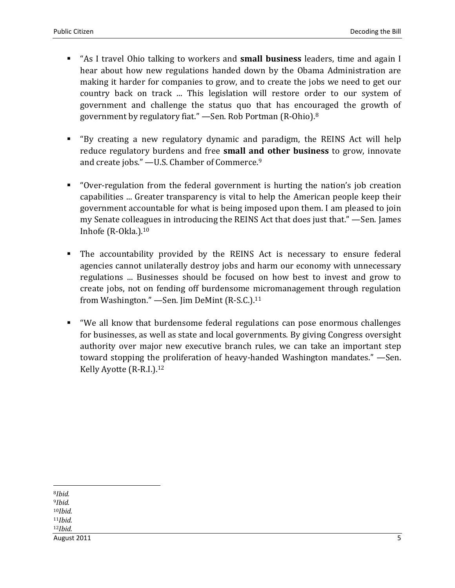- "As I travel Ohio talking to workers and **small business** leaders, time and again I hear about how new regulations handed down by the Obama Administration are making it harder for companies to grow, and to create the jobs we need to get our country back on track ... This legislation will restore order to our system of government and challenge the status quo that has encouraged the growth of government by regulatory fiat." —Sen. Rob Portman (R-Ohio).<sup>8</sup>
- "By creating a new regulatory dynamic and paradigm, the REINS Act will help reduce regulatory burdens and free small and other business to grow, innovate and create jobs." —U.S. Chamber of Commerce.<sup>9</sup>
- "Over-regulation from the federal government is hurting the nation's job creation capabilities ... Greater transparency is vital to help the American people keep their government accountable for what is being imposed upon them. I am pleased to join my Senate colleagues in introducing the REINS Act that does just that." —Sen. James Inhofe (R-Okla.).<sup>10</sup>
- The accountability provided by the REINS Act is necessary to ensure federal agencies cannot unilaterally destroy jobs and harm our economy with unnecessary regulations ... Businesses should be focused on how best to invest and grow to create jobs, not on fending off burdensome micromanagement through regulation from Washington." - Sen. Jim DeMint (R-S.C.).<sup>11</sup>
- "We all know that burdensome federal regulations can pose enormous challenges for businesses, as well as state and local governments. By giving Congress oversight authority over major new executive branch rules, we can take an important step toward stopping the proliferation of heavy-handed Washington mandates." —Sen. Kelly Ayotte (R-R.I.).<sup>12</sup>

<sup>8</sup>Ibid.

l

<sup>9</sup>Ibid.  $10$ *Ibid.*  $11$ *Ibid.*  $12$ *Ibid.* 

August 2011 5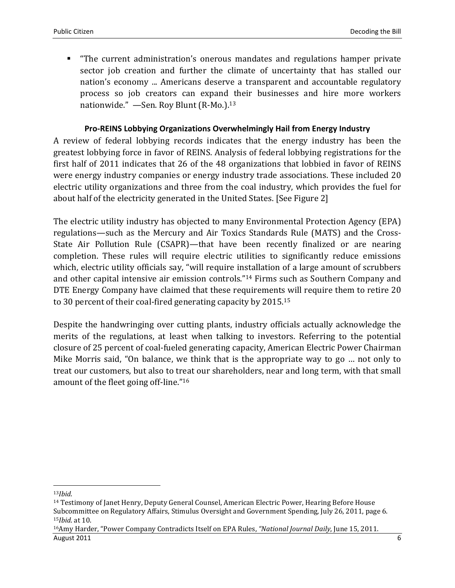"The current administration's onerous mandates and regulations hamper private sector job creation and further the climate of uncertainty that has stalled our nation's economy ... Americans deserve a transparent and accountable regulatory process so job creators can expand their businesses and hire more workers nationwide." - Sen. Roy Blunt (R-Mo.).<sup>13</sup>

#### Pro-REINS Lobbying Organizations Overwhelmingly Hail from Energy Industry

A review of federal lobbying records indicates that the energy industry has been the greatest lobbying force in favor of REINS. Analysis of federal lobbying registrations for the first half of 2011 indicates that 26 of the 48 organizations that lobbied in favor of REINS were energy industry companies or energy industry trade associations. These included 20 electric utility organizations and three from the coal industry, which provides the fuel for about half of the electricity generated in the United States. [See Figure 2]

The electric utility industry has objected to many Environmental Protection Agency (EPA) regulations—such as the Mercury and Air Toxics Standards Rule (MATS) and the Cross-State Air Pollution Rule (CSAPR)—that have been recently finalized or are nearing completion. These rules will require electric utilities to significantly reduce emissions which, electric utility officials say, "will require installation of a large amount of scrubbers and other capital intensive air emission controls."14 Firms such as Southern Company and DTE Energy Company have claimed that these requirements will require them to retire 20 to 30 percent of their coal-fired generating capacity by 2015.<sup>15</sup>

Despite the handwringing over cutting plants, industry officials actually acknowledge the merits of the regulations, at least when talking to investors. Referring to the potential closure of 25 percent of coal-fueled generating capacity, American Electric Power Chairman Mike Morris said, "On balance, we think that is the appropriate way to go … not only to treat our customers, but also to treat our shareholders, near and long term, with that small amount of the fleet going off-line."<sup>16</sup>

l

<sup>13</sup>Ibid.

<sup>14</sup> Testimony of Janet Henry, Deputy General Counsel, American Electric Power, Hearing Before House Subcommittee on Regulatory Affairs, Stimulus Oversight and Government Spending, July 26, 2011, page 6. <sup>15</sup>Ibid. at 10.

August 2011 6 16Amy Harder, "Power Company Contradicts Itself on EPA Rules, "National Journal Daily, June 15, 2011.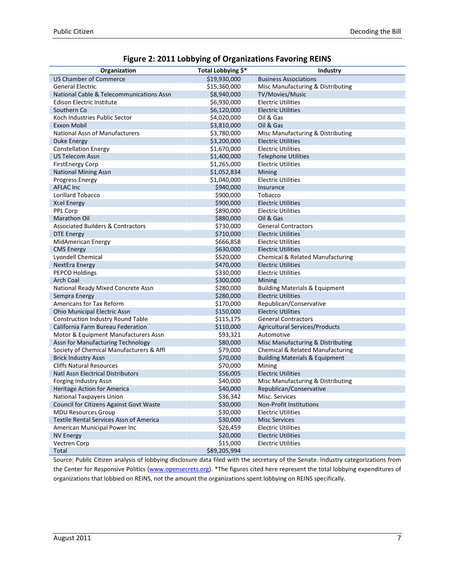| Figure 2: 2011 Lobbying of Organizations Favoring REINS |  |  |  |  |  |
|---------------------------------------------------------|--|--|--|--|--|
|---------------------------------------------------------|--|--|--|--|--|

| Organization                                 | Total Lobbying \$* | Industry                                  |
|----------------------------------------------|--------------------|-------------------------------------------|
| <b>US Chamber of Commerce</b>                | \$19,930,000       | <b>Business Associations</b>              |
| <b>General Electric</b>                      | \$15,360,000       | Misc Manufacturing & Distributing         |
| National Cable & Telecommunications Assn     | \$8,940,000        | TV/Movies/Music                           |
| Edison Electric Institute                    | \$6,930,000        | <b>Electric Utilities</b>                 |
| Southern Co                                  | \$6,120,000        | <b>Electric Utilities</b>                 |
| Koch Industries Public Sector                | \$4,020,000        | Oil & Gas                                 |
| Exxon Mobil                                  | \$3,810,000        | Oil & Gas                                 |
| National Assn of Manufacturers               | \$3,780,000        | Misc Manufacturing & Distributing         |
| Duke Energy                                  | \$3,200,000        | <b>Electric Utilities</b>                 |
| <b>Constellation Energy</b>                  | \$1,670,000        | <b>Electric Utilities</b>                 |
| <b>US Telecom Assn</b>                       | \$1,400,000        | <b>Telephone Utilities</b>                |
| <b>FirstEnergy Corp</b>                      | \$1,265,000        | <b>Electric Utilities</b>                 |
| <b>National Mining Assn</b>                  | \$1,052,834        | Mining                                    |
| <b>Progress Energy</b>                       | \$1,040,000        | <b>Electric Utilities</b>                 |
| <b>AFLAC Inc</b>                             | \$940,000          | Insurance                                 |
| Lorillard Tobacco                            | \$900,000          | Tobacco                                   |
| <b>Xcel Energy</b>                           | \$900,000          | <b>Electric Utilities</b>                 |
| PPL Corp                                     | \$890,000          | <b>Electric Utilities</b>                 |
| <b>Marathon Oil</b>                          | \$880,000          | Oil & Gas                                 |
| <b>Associated Builders &amp; Contractors</b> | \$730,000          | <b>General Contractors</b>                |
| <b>DTE Energy</b>                            | \$710,000          | <b>Electric Utilities</b>                 |
| <b>MidAmerican Energy</b>                    | \$666,858          | <b>Electric Utilities</b>                 |
| <b>CMS Energy</b>                            | \$630,000          | <b>Electric Utilities</b>                 |
| Lyondell Chemical                            | \$520,000          | Chemical & Related Manufacturing          |
| NextEra Energy                               | \$470,000          | <b>Electric Utilities</b>                 |
| <b>PEPCO Holdings</b>                        | \$330,000          | <b>Electric Utilities</b>                 |
| <b>Arch Coal</b>                             | \$300,000          | Mining                                    |
| National Ready Mixed Concrete Assn           | \$280,000          | <b>Building Materials &amp; Equipment</b> |
| Sempra Energy                                | \$280,000          | <b>Electric Utilities</b>                 |
| Americans for Tax Reform                     | \$170,000          | Republican/Conservative                   |
| Ohio Municipal Electric Assn                 | \$150,000          | <b>Electric Utilities</b>                 |
| Construction Industry Round Table            | \$115,175          | <b>General Contractors</b>                |
| California Farm Bureau Federation            | \$110,000          | Agricultural Services/Products            |
| Motor & Equipment Manufacturers Assn         | \$93,321           | Automotive                                |
| Assn for Manufacturing Technology            | \$80,000           | Misc Manufacturing & Distributing         |
| Society of Chemical Manufacturers & Affl     | \$79,000           | Chemical & Related Manufacturing          |
| <b>Brick Industry Assn</b>                   | \$70,000           | <b>Building Materials &amp; Equipment</b> |
| <b>Cliffs Natural Resources</b>              | \$70,000           | Mining                                    |
| <b>Natl Assn Electrical Distributors</b>     | \$56,005           | <b>Electric Utilities</b>                 |
| Forging Industry Assn                        | \$40,000           | Misc Manufacturing & Distributing         |
| <b>Heritage Action for America</b>           | \$40,000           | Republican/Conservative                   |
| National Taxpayers Union                     | \$36,342           | Misc. Services                            |
| Council for Citizens Against Govt Waste      | \$30,000           | Non-Profit Institutions                   |
| <b>MDU Resources Group</b>                   | \$30,000           | <b>Electric Utilities</b>                 |
| Textile Rental Services Assn of America      | \$30,000           | <b>Misc Services</b>                      |
| American Municipal Power Inc                 | \$26,459           | <b>Electric Utilities</b>                 |
| <b>NV Energy</b>                             | \$20,000           | <b>Electric Utilities</b>                 |
| Vectren Corp                                 | \$15,000           | <b>Electric Utilities</b>                 |
| Total                                        | \$89,205,994       |                                           |

Source: Public Citizen analysis of lobbying disclosure data filed with the secretary of the Senate. Industry categorizations from the Center for Responsive Politics (www.opensecrets.org). \*The figures cited here represent the total lobbying expenditures of organizations that lobbied on REINS, not the amount the organizations spent lobbying on REINS specifically.